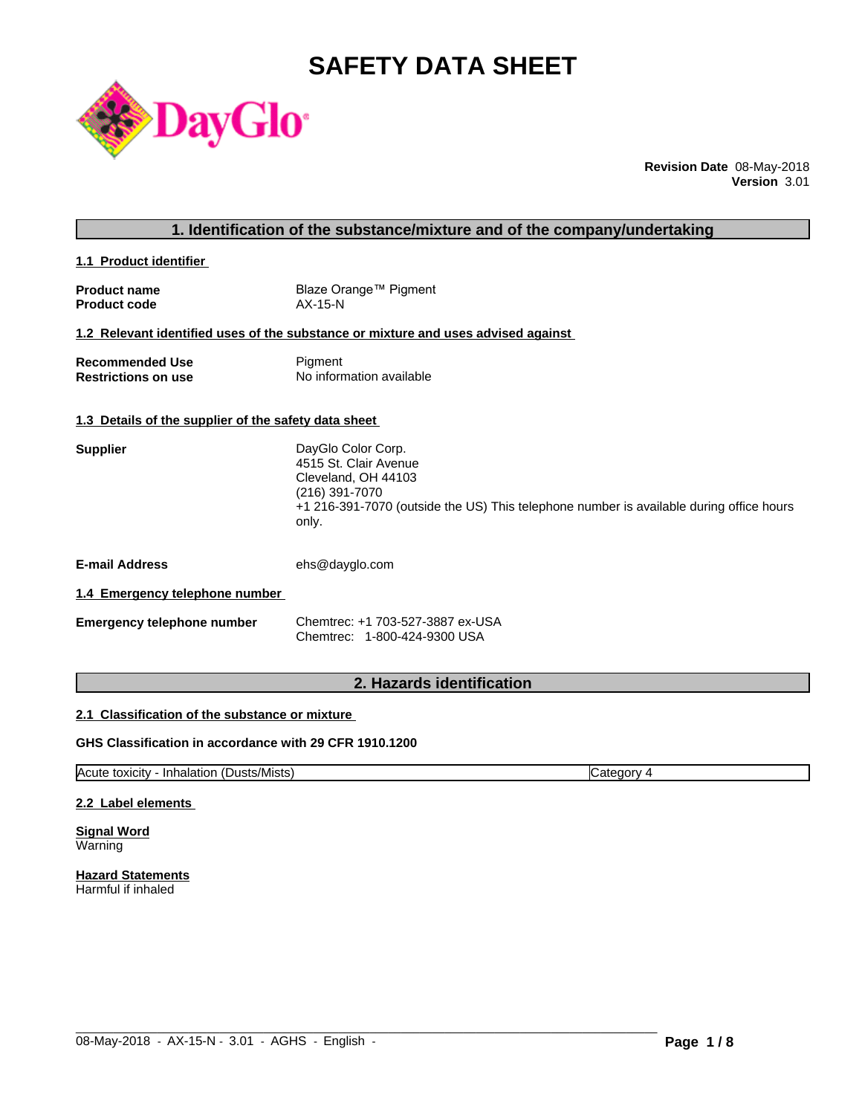# **SAFETY DATA SHEET**



**Revision Date** 08-May-2018 **Version** 3.01

# **1. Identification of the substance/mixture and of the company/undertaking**

**1.1 Product identifier** 

| <b>Product name</b> | Blaze Orange™ Pigment |
|---------------------|-----------------------|
| <b>Product code</b> | $AX-15-N$             |

### **1.2 Relevant identified uses of the substance or mixture and uses advised against**

| <b>Recommended Use</b>     | Pigment                  |
|----------------------------|--------------------------|
| <b>Restrictions on use</b> | No information available |

#### **1.3 Details of the supplier of the safety data sheet**

| 4515 St. Clair Avenue<br>Cleveland, OH 44103<br>(216) 391-7070<br>+1 216-391-7070 (outside the US) This telephone number is available during office hours | <b>Supplier</b> | DayGlo Color Corp. |
|-----------------------------------------------------------------------------------------------------------------------------------------------------------|-----------------|--------------------|
|                                                                                                                                                           |                 |                    |
|                                                                                                                                                           |                 |                    |
|                                                                                                                                                           |                 |                    |
|                                                                                                                                                           |                 | only.              |

**E-mail Address** ehs@dayglo.com

#### **1.4 Emergency telephone number**

| <b>Emergency telephone number</b> | Chemtrec: +1 703-527-3887 ex-USA |
|-----------------------------------|----------------------------------|
|                                   | Chemtrec: 1-800-424-9300 USA     |

# **2. Hazards identification**

#### **2.1 Classification of the substance or mixture**

### **GHS Classification in accordance with 29 CFR 1910.1200**

Acute toxicity - Inhalation (Dusts/Mists) Category 4

 $\_$  ,  $\_$  ,  $\_$  ,  $\_$  ,  $\_$  ,  $\_$  ,  $\_$  ,  $\_$  ,  $\_$  ,  $\_$  ,  $\_$  ,  $\_$  ,  $\_$  ,  $\_$  ,  $\_$  ,  $\_$  ,  $\_$  ,  $\_$  ,  $\_$  ,  $\_$  ,  $\_$  ,  $\_$  ,  $\_$  ,  $\_$  ,  $\_$  ,  $\_$  ,  $\_$  ,  $\_$  ,  $\_$  ,  $\_$  ,  $\_$  ,  $\_$  ,  $\_$  ,  $\_$  ,  $\_$  ,  $\_$  ,  $\_$  ,

#### **2.2 Label elements**

**Signal Word** Warning

**Hazard Statements** Harmful if inhaled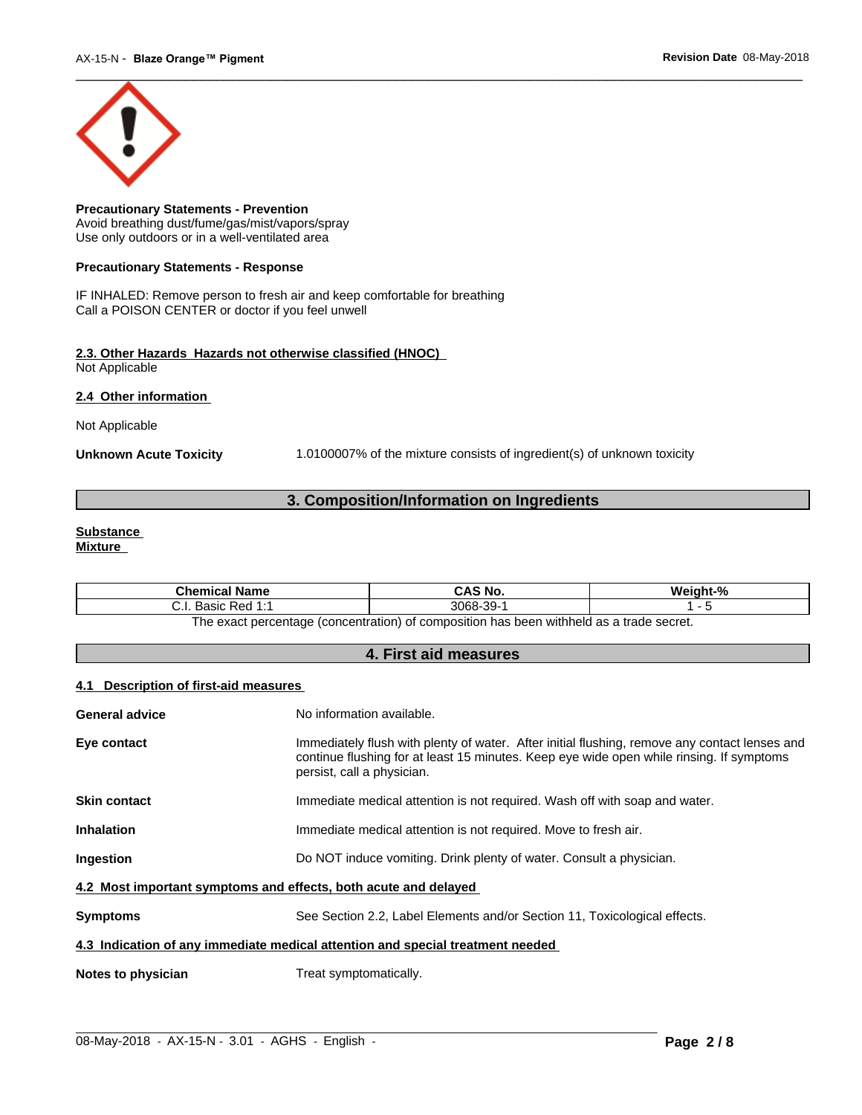

**Precautionary Statements - Prevention** Avoid breathing dust/fume/gas/mist/vapors/spray Use only outdoors or in a well-ventilated area

#### **Precautionary Statements - Response**

IF INHALED: Remove person to fresh air and keep comfortable for breathing Call a POISON CENTER or doctor if you feel unwell

#### **2.3. Other Hazards Hazards not otherwise classified (HNOC)** Not Applicable

**2.4 Other information** 

Not Applicable

**Unknown Acute Toxicity** 1.0100007% of the mixture consists of ingredient(s) of unknown toxicity

# **3. Composition/Information on Ingredients**

#### **Substance Mixture**

| <b>Chemical Name</b>                                                                                          | CAS No.  | Weight-% |  |
|---------------------------------------------------------------------------------------------------------------|----------|----------|--|
| Basic Red 1:1<br>. ا . ب                                                                                      | 3068-39- |          |  |
| $\alpha$ has been withheld as a trade secret.<br>of percentage (concentration) of composition i.<br>The exact |          |          |  |

**4. First aid measures**

#### **4.1 Description of first-aid measures**

| General advice                                                                 | No information available.                                                                                                                                                                                               |  |  |  |
|--------------------------------------------------------------------------------|-------------------------------------------------------------------------------------------------------------------------------------------------------------------------------------------------------------------------|--|--|--|
| Eye contact                                                                    | Immediately flush with plenty of water. After initial flushing, remove any contact lenses and<br>continue flushing for at least 15 minutes. Keep eye wide open while rinsing. If symptoms<br>persist, call a physician. |  |  |  |
| <b>Skin contact</b>                                                            | Immediate medical attention is not required. Wash off with soap and water.                                                                                                                                              |  |  |  |
| <b>Inhalation</b>                                                              | Immediate medical attention is not required. Move to fresh air.                                                                                                                                                         |  |  |  |
| Ingestion                                                                      | Do NOT induce vomiting. Drink plenty of water. Consult a physician.                                                                                                                                                     |  |  |  |
| 4.2 Most important symptoms and effects, both acute and delayed                |                                                                                                                                                                                                                         |  |  |  |
| <b>Symptoms</b>                                                                | See Section 2.2, Label Elements and/or Section 11, Toxicological effects.                                                                                                                                               |  |  |  |
| 4.3 Indication of any immediate medical attention and special treatment needed |                                                                                                                                                                                                                         |  |  |  |
| Notes to physician                                                             | Treat symptomatically.                                                                                                                                                                                                  |  |  |  |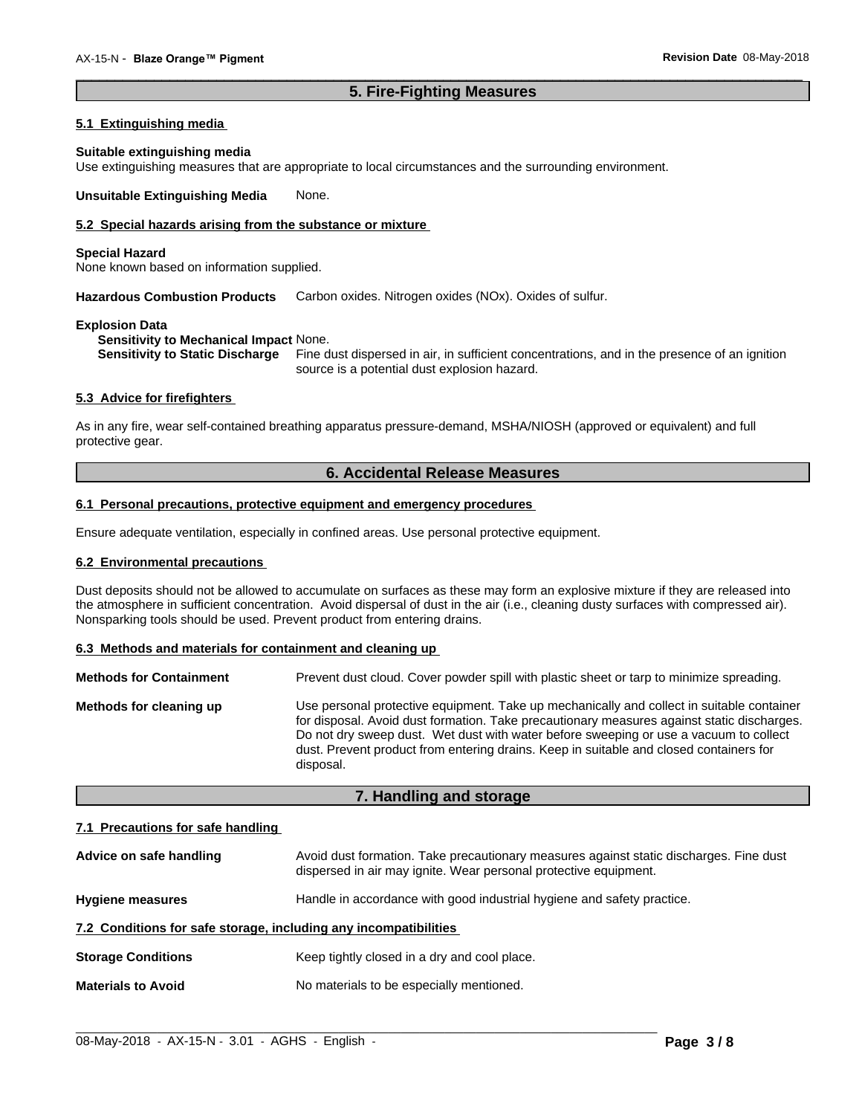### **5. Fire-Fighting Measures**

 $\overline{\phantom{a}}$  ,  $\overline{\phantom{a}}$  ,  $\overline{\phantom{a}}$  ,  $\overline{\phantom{a}}$  ,  $\overline{\phantom{a}}$  ,  $\overline{\phantom{a}}$  ,  $\overline{\phantom{a}}$  ,  $\overline{\phantom{a}}$  ,  $\overline{\phantom{a}}$  ,  $\overline{\phantom{a}}$  ,  $\overline{\phantom{a}}$  ,  $\overline{\phantom{a}}$  ,  $\overline{\phantom{a}}$  ,  $\overline{\phantom{a}}$  ,  $\overline{\phantom{a}}$  ,  $\overline{\phantom{a}}$ 

#### **5.1 Extinguishing media**

#### **Suitable extinguishing media**

Use extinguishing measures that are appropriate to local circumstances and the surrounding environment.

**Unsuitable Extinguishing Media** None.

### **5.2 Special hazards arising from the substance or mixture**

#### **Special Hazard**

None known based on information supplied.

**Hazardous Combustion Products** Carbon oxides. Nitrogen oxides (NOx). Oxides of sulfur.

#### **Explosion Data**

**Sensitivity to Mechanical Impact** None.

**Sensitivity to Static Discharge** Fine dust dispersed in air, in sufficient concentrations, and in the presence of an ignition source is a potential dust explosion hazard.

#### **5.3 Advice for firefighters**

As in any fire, wear self-contained breathing apparatus pressure-demand, MSHA/NIOSH (approved or equivalent) and full protective gear.

# **6. Accidental Release Measures**

#### **6.1 Personal precautions, protective equipment and emergency procedures**

Ensure adequate ventilation, especially in confined areas. Use personal protective equipment.

#### **6.2 Environmental precautions**

Dust deposits should not be allowed to accumulate on surfaces as these may form an explosive mixture if they are released into the atmosphere in sufficient concentration. Avoid dispersal of dust in the air (i.e., cleaning dusty surfaces with compressed air). Nonsparking tools should be used. Prevent product from entering drains.

#### **6.3 Methods and materials for containment and cleaning up**

| <b>Methods for Containment</b> | Prevent dust cloud. Cover powder spill with plastic sheet or tarp to minimize spreading.                                                                                                                                                                                                                                                                                                |
|--------------------------------|-----------------------------------------------------------------------------------------------------------------------------------------------------------------------------------------------------------------------------------------------------------------------------------------------------------------------------------------------------------------------------------------|
| Methods for cleaning up        | Use personal protective equipment. Take up mechanically and collect in suitable container<br>for disposal. Avoid dust formation. Take precautionary measures against static discharges.<br>Do not dry sweep dust. Wet dust with water before sweeping or use a vacuum to collect<br>dust. Prevent product from entering drains. Keep in suitable and closed containers for<br>disposal. |

### **7. Handling and storage**

#### **7.1 Precautions for safe handling**

| Advice on safe handling                                          | Avoid dust formation. Take precautionary measures against static discharges. Fine dust<br>dispersed in air may ignite. Wear personal protective equipment. |
|------------------------------------------------------------------|------------------------------------------------------------------------------------------------------------------------------------------------------------|
| <b>Hygiene measures</b>                                          | Handle in accordance with good industrial hygiene and safety practice.                                                                                     |
| 7.2 Conditions for safe storage, including any incompatibilities |                                                                                                                                                            |
| <b>Storage Conditions</b>                                        | Keep tightly closed in a dry and cool place.                                                                                                               |
| <b>Materials to Avoid</b>                                        | No materials to be especially mentioned.                                                                                                                   |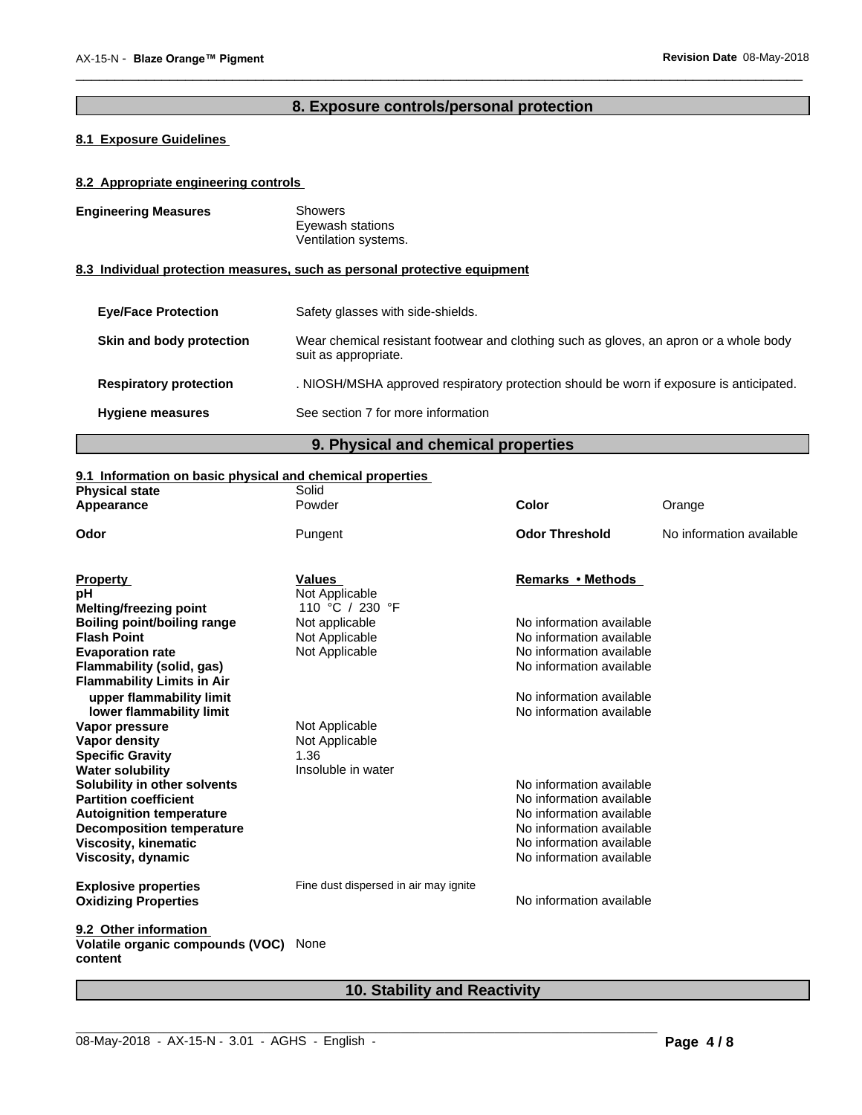# **8. Exposure controls/personal protection**

 $\overline{\phantom{a}}$  ,  $\overline{\phantom{a}}$  ,  $\overline{\phantom{a}}$  ,  $\overline{\phantom{a}}$  ,  $\overline{\phantom{a}}$  ,  $\overline{\phantom{a}}$  ,  $\overline{\phantom{a}}$  ,  $\overline{\phantom{a}}$  ,  $\overline{\phantom{a}}$  ,  $\overline{\phantom{a}}$  ,  $\overline{\phantom{a}}$  ,  $\overline{\phantom{a}}$  ,  $\overline{\phantom{a}}$  ,  $\overline{\phantom{a}}$  ,  $\overline{\phantom{a}}$  ,  $\overline{\phantom{a}}$ 

### **8.1 Exposure Guidelines**

#### **8.2 Appropriate engineering controls**

| <b>Engineering Measures</b> | Showers<br>Eyewash stations<br>Ventilation systems.                       |
|-----------------------------|---------------------------------------------------------------------------|
|                             | 8.3 Individual protection measures, such as personal protective equipment |

# **Eye/Face Protection** Safety glasses with side-shields. **Skin and body protection** Wear chemical resistant footwear and clothing such as gloves, an apron or a whole body suit as appropriate. **Respiratory protection** . NIOSH/MSHA approved respiratory protection should be worn if exposure is anticipated. **Hygiene measures** See section 7 for more information

### **9. Physical and chemical properties**

#### **9.1 Information on basic physical and chemical properties**

| <b>Physical state</b>                       | Solid                                 |                          |                          |
|---------------------------------------------|---------------------------------------|--------------------------|--------------------------|
| Appearance                                  | Powder                                | Color                    | Orange                   |
| Odor                                        | Pungent                               | <b>Odor Threshold</b>    | No information available |
| <b>Property</b>                             | <b>Values</b>                         | Remarks • Methods        |                          |
| рH                                          | Not Applicable                        |                          |                          |
| <b>Melting/freezing point</b>               | 110 °C / 230 °F                       |                          |                          |
| <b>Boiling point/boiling range</b>          | Not applicable                        | No information available |                          |
| <b>Flash Point</b>                          | Not Applicable                        | No information available |                          |
| <b>Evaporation rate</b>                     | Not Applicable                        | No information available |                          |
| Flammability (solid, gas)                   |                                       | No information available |                          |
| <b>Flammability Limits in Air</b>           |                                       |                          |                          |
| upper flammability limit                    |                                       | No information available |                          |
| lower flammability limit                    |                                       | No information available |                          |
| Vapor pressure                              | Not Applicable                        |                          |                          |
| Vapor density                               | Not Applicable                        |                          |                          |
| <b>Specific Gravity</b>                     | 1.36                                  |                          |                          |
| <b>Water solubility</b>                     | Insoluble in water                    |                          |                          |
| Solubility in other solvents                |                                       | No information available |                          |
| <b>Partition coefficient</b>                |                                       | No information available |                          |
| <b>Autoignition temperature</b>             |                                       | No information available |                          |
| <b>Decomposition temperature</b>            |                                       | No information available |                          |
| <b>Viscosity, kinematic</b>                 |                                       | No information available |                          |
| Viscosity, dynamic                          |                                       | No information available |                          |
| <b>Explosive properties</b>                 | Fine dust dispersed in air may ignite |                          |                          |
| <b>Oxidizing Properties</b>                 |                                       | No information available |                          |
| 9.2 Other information                       |                                       |                          |                          |
| Volatile organic compounds (VOC)<br>content | None                                  |                          |                          |
|                                             |                                       |                          |                          |

# **10. Stability and Reactivity**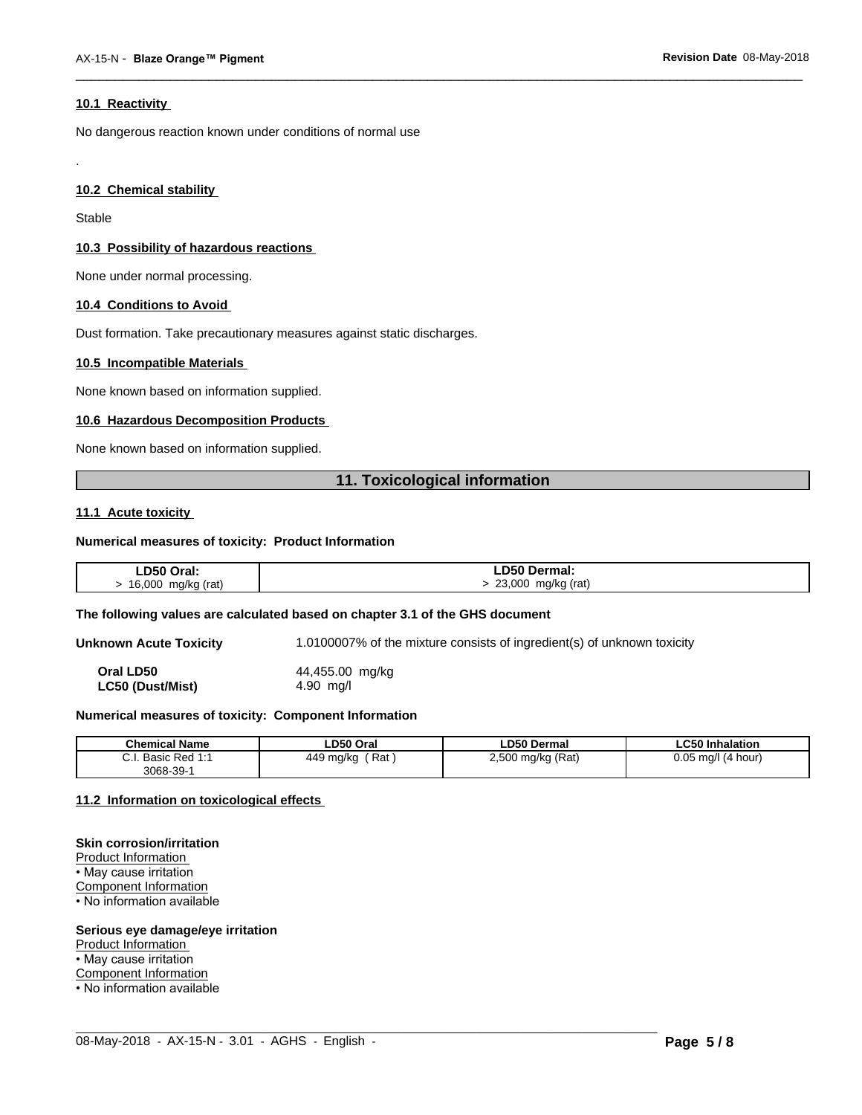#### **10.1 Reactivity**

No dangerous reaction known under conditions of normal use

#### **10.2 Chemical stability**

Stable

.

#### **10.3 Possibility of hazardous reactions**

None under normal processing.

#### **10.4 Conditions to Avoid**

Dust formation. Take precautionary measures against static discharges.

#### **10.5 Incompatible Materials**

None known based on information supplied.

#### **10.6 Hazardous Decomposition Products**

None known based on information supplied.

# **11. Toxicological information**

 $\overline{\phantom{a}}$  ,  $\overline{\phantom{a}}$  ,  $\overline{\phantom{a}}$  ,  $\overline{\phantom{a}}$  ,  $\overline{\phantom{a}}$  ,  $\overline{\phantom{a}}$  ,  $\overline{\phantom{a}}$  ,  $\overline{\phantom{a}}$  ,  $\overline{\phantom{a}}$  ,  $\overline{\phantom{a}}$  ,  $\overline{\phantom{a}}$  ,  $\overline{\phantom{a}}$  ,  $\overline{\phantom{a}}$  ,  $\overline{\phantom{a}}$  ,  $\overline{\phantom{a}}$  ,  $\overline{\phantom{a}}$ 

#### **11.1 Acute toxicity**

#### **Numerical measures of toxicity: Product Information**

| ∟D50 Oral:   | D50 Dermal:     |
|--------------|-----------------|
| 16,000       | 23,000          |
| mg/kg (rat)  | mg/kg (rat)     |
| $\mathbf{r}$ | $\cdot$ $\cdot$ |
|              | $\sim$          |

#### **The following values are calculated based on chapter 3.1 of the GHS document**

**Unknown Acute Toxicity** 1.0100007% of the mixture consists of ingredient(s) of unknown toxicity

**Oral LD50** 44,455.00 mg/kg **LC50 (Dust/Mist)** 4.90 mg/l

#### **Numerical measures of toxicity: Component Information**

| <b>Chemical Name</b>                                                                | LD50 Oral        | <b>LD50 Dermal</b>     | <b>LC50 Inhalation</b>   |
|-------------------------------------------------------------------------------------|------------------|------------------------|--------------------------|
| $\sim$<br>$Dod$ 4.4<br><b>Dooin</b><br><b>D</b> asic<br>$\mathsf{r}$ Req.i.<br>υ.ι. | Rat<br>449 mg/kg | ) mg/kg (Rat)<br>2,500 | 0.05<br>(4 hour)<br>ma/l |
| $3068 - 39 - 7$                                                                     |                  |                        |                          |

 $\_$  ,  $\_$  ,  $\_$  ,  $\_$  ,  $\_$  ,  $\_$  ,  $\_$  ,  $\_$  ,  $\_$  ,  $\_$  ,  $\_$  ,  $\_$  ,  $\_$  ,  $\_$  ,  $\_$  ,  $\_$  ,  $\_$  ,  $\_$  ,  $\_$  ,  $\_$  ,  $\_$  ,  $\_$  ,  $\_$  ,  $\_$  ,  $\_$  ,  $\_$  ,  $\_$  ,  $\_$  ,  $\_$  ,  $\_$  ,  $\_$  ,  $\_$  ,  $\_$  ,  $\_$  ,  $\_$  ,  $\_$  ,  $\_$  ,

#### **11.2 Information on toxicologicaleffects**

#### **Skin corrosion/irritation**

Product Information • May cause irritation Component Information • No information available

#### **Serious eye damage/eye irritation**

Product Information

• May cause irritation

Component Information

• No information available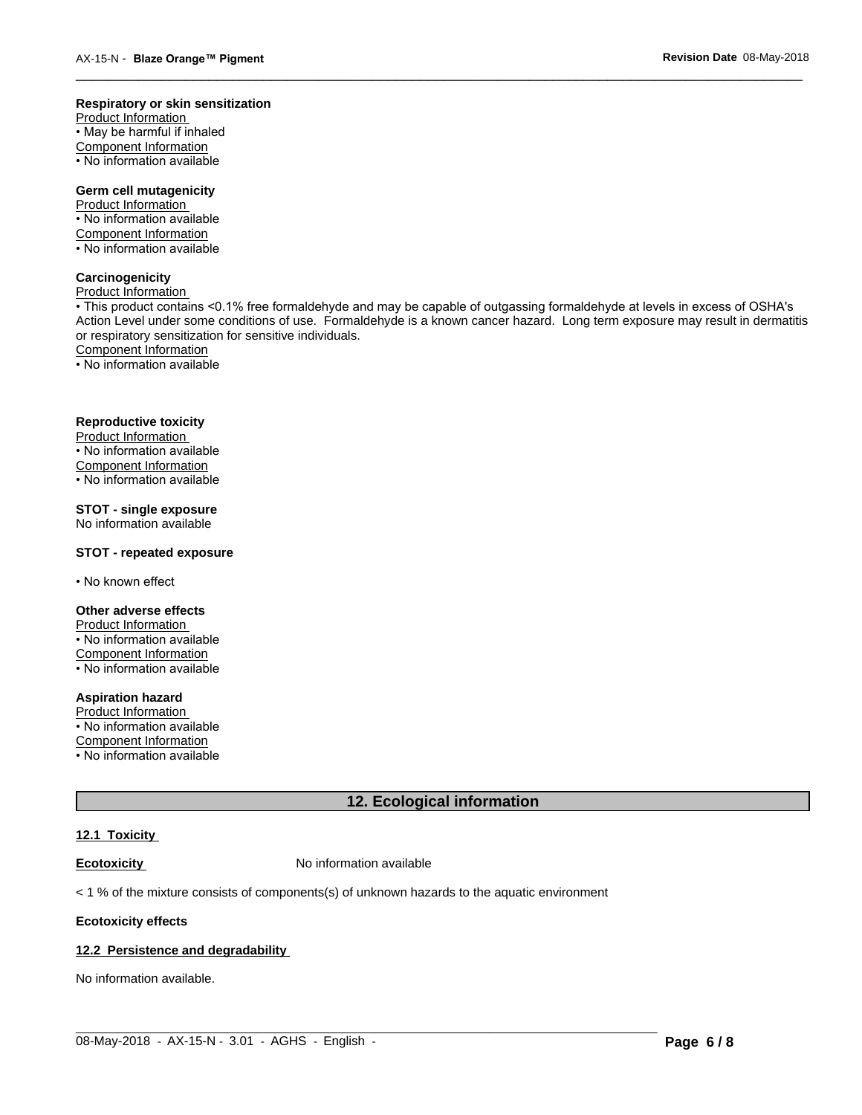#### **Respiratory or skin sensitization**

Product Information  $\overline{\cdot}$  May be harmful if inhaled Component Information • No information available

# **Germ cell mutagenicity**

Product Information • No information available Component Information • No information available

### **Carcinogenicity**

Product Information

• This product contains <0.1% free formaldehyde and may be capable of outgassing formaldehyde at levels in excess of OSHA's Action Level under some conditions of use. Formaldehyde is a known cancer hazard. Long term exposure may result in dermatitis or respiratory sensitization for sensitive individuals.Component Information

 $\overline{\phantom{a}}$  ,  $\overline{\phantom{a}}$  ,  $\overline{\phantom{a}}$  ,  $\overline{\phantom{a}}$  ,  $\overline{\phantom{a}}$  ,  $\overline{\phantom{a}}$  ,  $\overline{\phantom{a}}$  ,  $\overline{\phantom{a}}$  ,  $\overline{\phantom{a}}$  ,  $\overline{\phantom{a}}$  ,  $\overline{\phantom{a}}$  ,  $\overline{\phantom{a}}$  ,  $\overline{\phantom{a}}$  ,  $\overline{\phantom{a}}$  ,  $\overline{\phantom{a}}$  ,  $\overline{\phantom{a}}$ 

• No information available

#### **Reproductive toxicity**

Product Information • No information available

Component Information

• No information available

# **STOT - single exposure**

No information available

#### **STOT - repeated exposure**

• No known effect

#### **Other adverse effects**

Product Information • No information available Component Information

• No information available

# **Aspiration hazard**

Product Information • No information available

Component Information

• No information available

# **12. Ecological information**

 $\_$  ,  $\_$  ,  $\_$  ,  $\_$  ,  $\_$  ,  $\_$  ,  $\_$  ,  $\_$  ,  $\_$  ,  $\_$  ,  $\_$  ,  $\_$  ,  $\_$  ,  $\_$  ,  $\_$  ,  $\_$  ,  $\_$  ,  $\_$  ,  $\_$  ,  $\_$  ,  $\_$  ,  $\_$  ,  $\_$  ,  $\_$  ,  $\_$  ,  $\_$  ,  $\_$  ,  $\_$  ,  $\_$  ,  $\_$  ,  $\_$  ,  $\_$  ,  $\_$  ,  $\_$  ,  $\_$  ,  $\_$  ,  $\_$  ,

#### **12.1 Toxicity**

**Ecotoxicity No information available** 

 $<$  1 % of the mixture consists of components(s) of unknown hazards to the aquatic environment

#### **Ecotoxicity effects**

#### **12.2 Persistence and degradability**

No information available.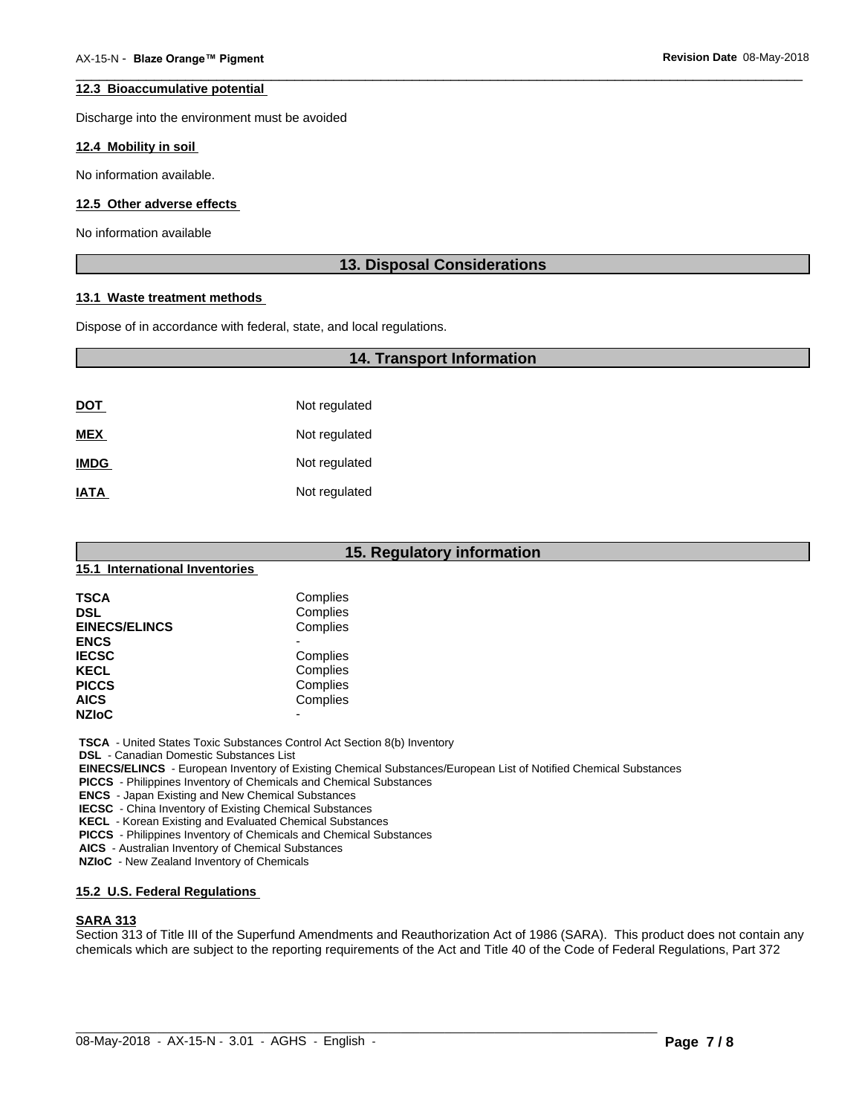#### **12.3 Bioaccumulative potential**

Discharge into the environment must be avoided

#### **12.4 Mobility in soil**

No information available.

#### **12.5 Other adverse effects**

No information available

### **13. Disposal Considerations**

 $\overline{\phantom{a}}$  ,  $\overline{\phantom{a}}$  ,  $\overline{\phantom{a}}$  ,  $\overline{\phantom{a}}$  ,  $\overline{\phantom{a}}$  ,  $\overline{\phantom{a}}$  ,  $\overline{\phantom{a}}$  ,  $\overline{\phantom{a}}$  ,  $\overline{\phantom{a}}$  ,  $\overline{\phantom{a}}$  ,  $\overline{\phantom{a}}$  ,  $\overline{\phantom{a}}$  ,  $\overline{\phantom{a}}$  ,  $\overline{\phantom{a}}$  ,  $\overline{\phantom{a}}$  ,  $\overline{\phantom{a}}$ 

#### **13.1 Waste treatment methods**

Dispose of in accordance with federal, state, and local regulations.

# **14. Transport Information**

| <u>DOT</u>  | Not regulated |
|-------------|---------------|
| <b>MEX</b>  | Not regulated |
| <b>IMDG</b> | Not regulated |
| <b>IATA</b> | Not regulated |

|                                | 15. Regulatory information |  |  |
|--------------------------------|----------------------------|--|--|
| 15.1 International Inventories |                            |  |  |
| <b>TSCA</b>                    | Complies                   |  |  |
| <b>DSL</b>                     | Complies                   |  |  |
| <b>EINECS/ELINCS</b>           | Complies                   |  |  |
| <b>ENCS</b>                    | -                          |  |  |
| <b>IECSC</b>                   | Complies                   |  |  |
| <b>KECL</b>                    | Complies                   |  |  |
| <b>PICCS</b>                   | Complies                   |  |  |
| <b>AICS</b>                    | Complies                   |  |  |
| <b>NZIoC</b>                   | -                          |  |  |

 **TSCA** - United States Toxic Substances Control Act Section 8(b) Inventory

 **DSL** - Canadian Domestic Substances List

 **EINECS/ELINCS** - European Inventory of Existing Chemical Substances/European List of Notified Chemical Substances

 **PICCS** - Philippines Inventory of Chemicals and Chemical Substances

 **ENCS** - Japan Existing and New Chemical Substances

 **IECSC** - China Inventory of Existing Chemical Substances

 **KECL** - Korean Existing and Evaluated Chemical Substances

 **PICCS** - Philippines Inventory of Chemicals and Chemical Substances

 **AICS** - Australian Inventory of Chemical Substances

 **NZIoC** - New Zealand Inventory of Chemicals

#### **15.2 U.S. Federal Regulations**

#### **SARA 313**

Section 313 of Title III of the Superfund Amendments and Reauthorization Act of 1986 (SARA). This product does not contain any chemicals which are subject to the reporting requirements of the Act and Title 40 of the Code of Federal Regulations, Part 372